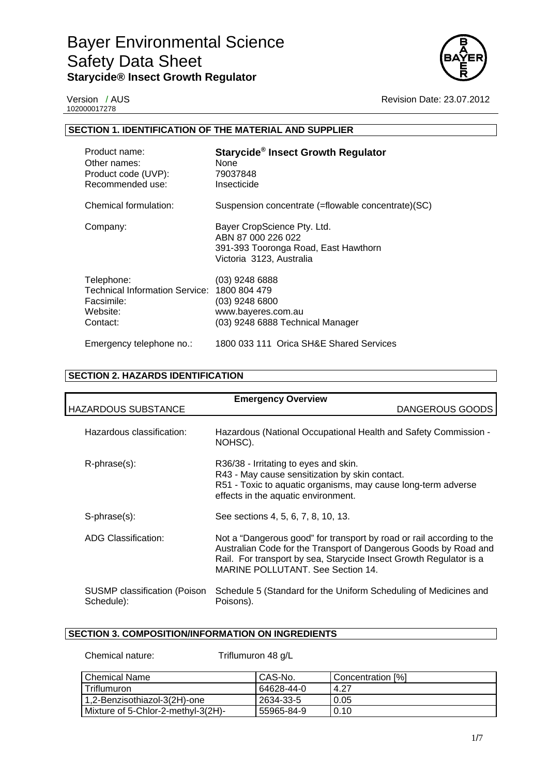

102000017278

Version / AUS **Revision Date: 23.07.2012** 

# **SECTION 1. IDENTIFICATION OF THE MATERIAL AND SUPPLIER**

| Product name:<br>Other names:<br>Product code (UVP):<br>Recommended use:           | Starycide® Insect Growth Regulator<br>None<br>79037848<br>Insecticide                                                 |
|------------------------------------------------------------------------------------|-----------------------------------------------------------------------------------------------------------------------|
| Chemical formulation:                                                              | Suspension concentrate (=flowable concentrate)(SC)                                                                    |
| Company:                                                                           | Bayer CropScience Pty. Ltd.<br>ABN 87 000 226 022<br>391-393 Tooronga Road, East Hawthorn<br>Victoria 3123, Australia |
| Telephone:<br>Technical Information Service:<br>Facsimile:<br>Website:<br>Contact: | $(03)$ 9248 6888<br>1800 804 479<br>(03) 9248 6800<br>www.bayeres.com.au<br>(03) 9248 6888 Technical Manager          |
| Emergency telephone no.:                                                           | 1800 033 111 Orica SH&E Shared Services                                                                               |

# **SECTION 2. HAZARDS IDENTIFICATION**

| <b>Emergency Overview</b>                  |                                                                                                                                                                                                                                                             |  |  |
|--------------------------------------------|-------------------------------------------------------------------------------------------------------------------------------------------------------------------------------------------------------------------------------------------------------------|--|--|
| <b>HAZARDOUS SUBSTANCE</b>                 | DANGEROUS GOODS                                                                                                                                                                                                                                             |  |  |
| Hazardous classification:                  | Hazardous (National Occupational Health and Safety Commission -<br>NOHSC).                                                                                                                                                                                  |  |  |
| R-phrase(s):                               | R36/38 - Irritating to eyes and skin.<br>R43 - May cause sensitization by skin contact.<br>R51 - Toxic to aquatic organisms, may cause long-term adverse<br>effects in the aquatic environment.                                                             |  |  |
| S-phrase(s):                               | See sections 4, 5, 6, 7, 8, 10, 13.                                                                                                                                                                                                                         |  |  |
| <b>ADG Classification:</b>                 | Not a "Dangerous good" for transport by road or rail according to the<br>Australian Code for the Transport of Dangerous Goods by Road and<br>Rail. For transport by sea, Starycide Insect Growth Regulator is a<br><b>MARINE POLLUTANT, See Section 14.</b> |  |  |
| SUSMP classification (Poison<br>Schedule): | Schedule 5 (Standard for the Uniform Scheduling of Medicines and<br>Poisons).                                                                                                                                                                               |  |  |

# **SECTION 3. COMPOSITION/INFORMATION ON INGREDIENTS**

Chemical nature: Triflumuron 48 g/L

| Chemical Name                      | CAS-No.    | Concentration [%] |
|------------------------------------|------------|-------------------|
| <b>Triflumuron</b>                 | 64628-44-0 | 4.27              |
| 1,2-Benzisothiazol-3(2H)-one       | 2634-33-5  | 0.05              |
| Mixture of 5-Chlor-2-methyl-3(2H)- | 55965-84-9 | 0.10              |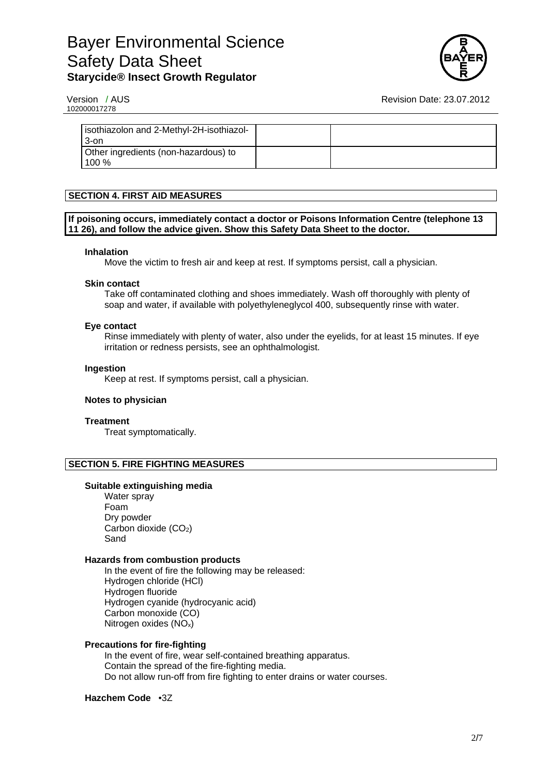

102000017278

Version / AUS **Revision Date: 23.07.2012** 

| isothiazolon and 2-Methyl-2H-isothiazol-<br>3-on |  |
|--------------------------------------------------|--|
| Other ingredients (non-hazardous) to<br>$100\%$  |  |

# **SECTION 4. FIRST AID MEASURES**

### **If poisoning occurs, immediately contact a doctor or Poisons Information Centre (telephone 13 11 26), and follow the advice given. Show this Safety Data Sheet to the doctor.**

#### **Inhalation**

Move the victim to fresh air and keep at rest. If symptoms persist, call a physician.

#### **Skin contact**

Take off contaminated clothing and shoes immediately. Wash off thoroughly with plenty of soap and water, if available with polyethyleneglycol 400, subsequently rinse with water.

#### **Eye contact**

Rinse immediately with plenty of water, also under the eyelids, for at least 15 minutes. If eye irritation or redness persists, see an ophthalmologist.

#### **Ingestion**

Keep at rest. If symptoms persist, call a physician.

## **Notes to physician**

## **Treatment**

Treat symptomatically.

## **SECTION 5. FIRE FIGHTING MEASURES**

#### **Suitable extinguishing media**

Water spray Foam Dry powder Carbon dioxide (CO<sub>2</sub>) Sand

#### **Hazards from combustion products**

In the event of fire the following may be released: Hydrogen chloride (HCl) Hydrogen fluoride Hydrogen cyanide (hydrocyanic acid) Carbon monoxide (CO) Nitrogen oxides (NOx)

## **Precautions for fire-fighting**

In the event of fire, wear self-contained breathing apparatus. Contain the spread of the fire-fighting media. Do not allow run-off from fire fighting to enter drains or water courses.

## **Hazchem Code** •3Z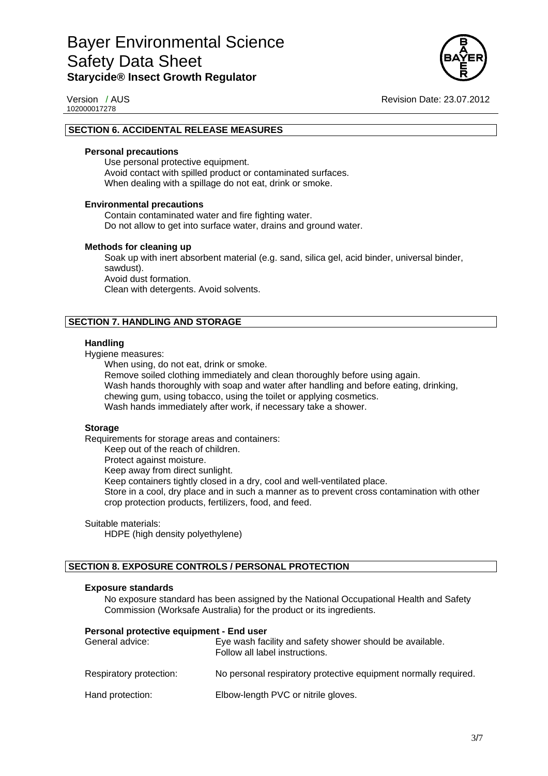

102000017278

Version / AUS **Revision Date: 23.07.2012** 

### **SECTION 6. ACCIDENTAL RELEASE MEASURES**

#### **Personal precautions**

Use personal protective equipment. Avoid contact with spilled product or contaminated surfaces. When dealing with a spillage do not eat, drink or smoke.

#### **Environmental precautions**

Contain contaminated water and fire fighting water. Do not allow to get into surface water, drains and ground water.

#### **Methods for cleaning up**

Soak up with inert absorbent material (e.g. sand, silica gel, acid binder, universal binder, sawdust). Avoid dust formation. Clean with detergents. Avoid solvents.

## **SECTION 7. HANDLING AND STORAGE**

#### **Handling**

Hygiene measures:

When using, do not eat, drink or smoke.

Remove soiled clothing immediately and clean thoroughly before using again. Wash hands thoroughly with soap and water after handling and before eating, drinking, chewing gum, using tobacco, using the toilet or applying cosmetics. Wash hands immediately after work, if necessary take a shower.

#### **Storage**

Requirements for storage areas and containers:

Keep out of the reach of children.

Protect against moisture.

Keep away from direct sunlight.

Keep containers tightly closed in a dry, cool and well-ventilated place.

Store in a cool, dry place and in such a manner as to prevent cross contamination with other crop protection products, fertilizers, food, and feed.

#### Suitable materials:

HDPE (high density polyethylene)

## **SECTION 8. EXPOSURE CONTROLS / PERSONAL PROTECTION**

## **Exposure standards**

No exposure standard has been assigned by the National Occupational Health and Safety Commission (Worksafe Australia) for the product or its ingredients.

#### **Personal protective equipment - End user**

| General advice:         | Eye wash facility and safety shower should be available.<br>Follow all label instructions. |
|-------------------------|--------------------------------------------------------------------------------------------|
| Respiratory protection: | No personal respiratory protective equipment normally required.                            |
| Hand protection:        | Elbow-length PVC or nitrile gloves.                                                        |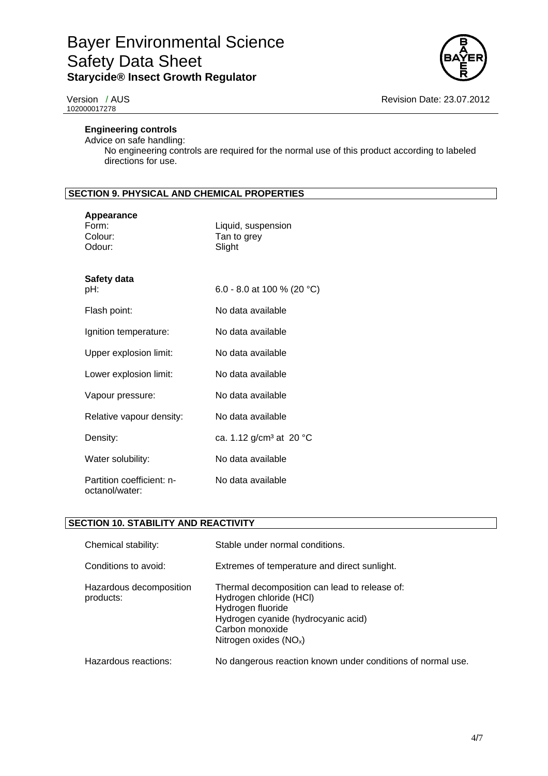

102000017278

# **Engineering controls**

Advice on safe handling: No engineering controls are required for the normal use of this product according to labeled directions for use.

# **SECTION 9. PHYSICAL AND CHEMICAL PROPERTIES**

| Appearance<br>Form:<br>Colour:<br>Odour:    | Liquid, suspension<br>Tan to grey<br>Slight |
|---------------------------------------------|---------------------------------------------|
| Safety data<br>pH:                          | 6.0 - 8.0 at 100 % (20 °C)                  |
| Flash point:                                | No data available                           |
| Ignition temperature:                       | No data available                           |
| Upper explosion limit:                      | No data available                           |
| Lower explosion limit:                      | No data available                           |
| Vapour pressure:                            | No data available                           |
| Relative vapour density:                    | No data available                           |
| Density:                                    | ca. 1.12 g/cm <sup>3</sup> at 20 °C         |
| Water solubility:                           | No data available                           |
| Partition coefficient: n-<br>octanol/water: | No data available                           |

# **SECTION 10. STABILITY AND REACTIVITY**

| Chemical stability:                  | Stable under normal conditions.                                                                                                                                                    |
|--------------------------------------|------------------------------------------------------------------------------------------------------------------------------------------------------------------------------------|
| Conditions to avoid:                 | Extremes of temperature and direct sunlight.                                                                                                                                       |
| Hazardous decomposition<br>products: | Thermal decomposition can lead to release of:<br>Hydrogen chloride (HCI)<br>Hydrogen fluoride<br>Hydrogen cyanide (hydrocyanic acid)<br>Carbon monoxide<br>Nitrogen oxides $(NOx)$ |
| Hazardous reactions:                 | No dangerous reaction known under conditions of normal use.                                                                                                                        |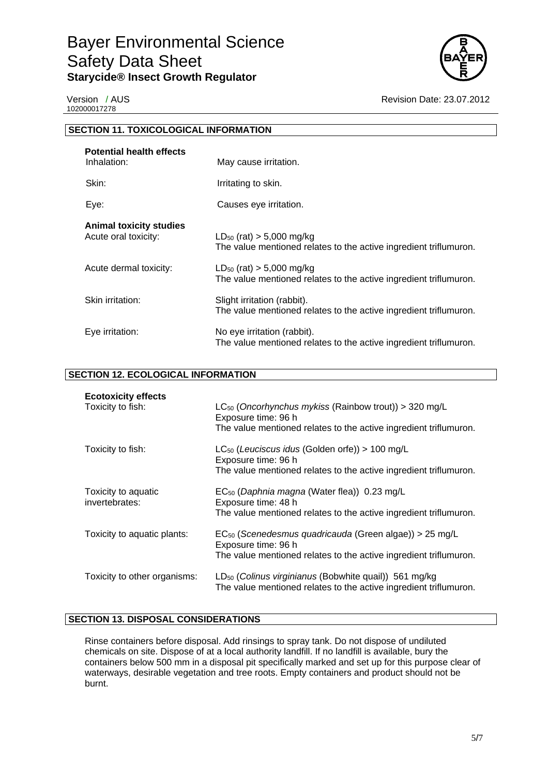

102000017278

Version / AUS **Revision Date: 23.07.2012** 

| <b>SECTION 11. TOXICOLOGICAL INFORMATION</b>           |                                                                                                    |  |
|--------------------------------------------------------|----------------------------------------------------------------------------------------------------|--|
| <b>Potential health effects</b><br>Inhalation:         | May cause irritation.                                                                              |  |
| Skin:                                                  | Irritating to skin.                                                                                |  |
| Eye:                                                   | Causes eye irritation.                                                                             |  |
| <b>Animal toxicity studies</b><br>Acute oral toxicity: | $LD_{50}$ (rat) > 5,000 mg/kg<br>The value mentioned relates to the active ingredient triflumuron. |  |
| Acute dermal toxicity:                                 | $LD_{50}$ (rat) > 5,000 mg/kg<br>The value mentioned relates to the active ingredient triflumuron. |  |
| Skin irritation:                                       | Slight irritation (rabbit).<br>The value mentioned relates to the active ingredient triflumuron.   |  |
| Eye irritation:                                        | No eye irritation (rabbit).<br>The value mentioned relates to the active ingredient triflumuron.   |  |

# **SECTION 12. ECOLOGICAL INFORMATION**

| <b>Ecotoxicity effects</b><br>Toxicity to fish: | $LC_{50}$ (Oncorhynchus mykiss (Rainbow trout)) > 320 mg/L<br>Exposure time: 96 h<br>The value mentioned relates to the active ingredient triflumuron.         |
|-------------------------------------------------|----------------------------------------------------------------------------------------------------------------------------------------------------------------|
| Toxicity to fish:                               | $LC_{50}$ (Leuciscus idus (Golden orfe)) > 100 mg/L<br>Exposure time: 96 h<br>The value mentioned relates to the active ingredient triflumuron.                |
| Toxicity to aquatic<br>invertebrates:           | $EC_{50}$ (Daphnia magna (Water flea)) 0.23 mg/L<br>Exposure time: 48 h<br>The value mentioned relates to the active ingredient triflumuron.                   |
| Toxicity to aquatic plants:                     | EC <sub>50</sub> (Scenedesmus quadricauda (Green algae)) > 25 mg/L<br>Exposure time: 96 h<br>The value mentioned relates to the active ingredient triflumuron. |
| Toxicity to other organisms:                    | LD <sub>50</sub> (Colinus virginianus (Bobwhite quail)) 561 mg/kg<br>The value mentioned relates to the active ingredient triflumuron.                         |

# **SECTION 13. DISPOSAL CONSIDERATIONS**

Rinse containers before disposal. Add rinsings to spray tank. Do not dispose of undiluted chemicals on site. Dispose of at a local authority landfill. If no landfill is available, bury the containers below 500 mm in a disposal pit specifically marked and set up for this purpose clear of waterways, desirable vegetation and tree roots. Empty containers and product should not be burnt.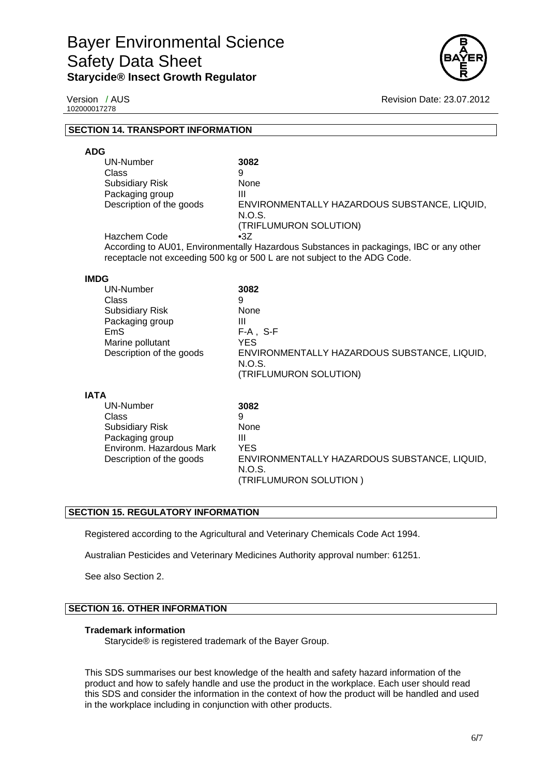

102000017278

Version / AUS **Revision Date: 23.07.2012** 

## **SECTION 14. TRANSPORT INFORMATION**

#### **ADG**

| UN-Number                                                                               | 3082                                         |
|-----------------------------------------------------------------------------------------|----------------------------------------------|
| Class                                                                                   | 9                                            |
| <b>Subsidiary Risk</b>                                                                  | None                                         |
| Packaging group                                                                         | Ш                                            |
| Description of the goods                                                                | ENVIRONMENTALLY HAZARDOUS SUBSTANCE, LIQUID, |
|                                                                                         | N.O.S.                                       |
|                                                                                         | (TRIFLUMURON SOLUTION)                       |
| Hazchem Code                                                                            | $\cdot 37$                                   |
| According to AU01, Environmentally Hazardous Substances in packagings, IBC or any other |                                              |

receptacle not exceeding 500 kg or 500 L are not subject to the ADG Code.

#### **IMDG**

**IATA** 

| <b>UN-Number</b>         | 3082                                         |
|--------------------------|----------------------------------------------|
| Class                    | 9                                            |
| <b>Subsidiary Risk</b>   | None                                         |
| Packaging group          | Ш                                            |
| EmS                      | F-A . S-F                                    |
| Marine pollutant         | YES.                                         |
| Description of the goods | ENVIRONMENTALLY HAZARDOUS SUBSTANCE, LIQUID, |
|                          | N.O.S.                                       |
|                          | (TRIFLUMURON SOLUTION)                       |

| 17.17 |                          |                                              |
|-------|--------------------------|----------------------------------------------|
|       | UN-Number                | 3082                                         |
|       | Class                    | 9                                            |
|       | <b>Subsidiary Risk</b>   | None                                         |
|       | Packaging group          | Ш                                            |
|       | Environm. Hazardous Mark | YES                                          |
|       | Description of the goods | ENVIRONMENTALLY HAZARDOUS SUBSTANCE, LIQUID, |
|       |                          | N.O.S.                                       |
|       |                          | (TRIFLUMURON SOLUTION)                       |
|       |                          |                                              |

## **SECTION 15. REGULATORY INFORMATION**

Registered according to the Agricultural and Veterinary Chemicals Code Act 1994.

Australian Pesticides and Veterinary Medicines Authority approval number: 61251.

See also Section 2.

## **SECTION 16. OTHER INFORMATION**

#### **Trademark information**

Starycide® is registered trademark of the Bayer Group.

This SDS summarises our best knowledge of the health and safety hazard information of the product and how to safely handle and use the product in the workplace. Each user should read this SDS and consider the information in the context of how the product will be handled and used in the workplace including in conjunction with other products.